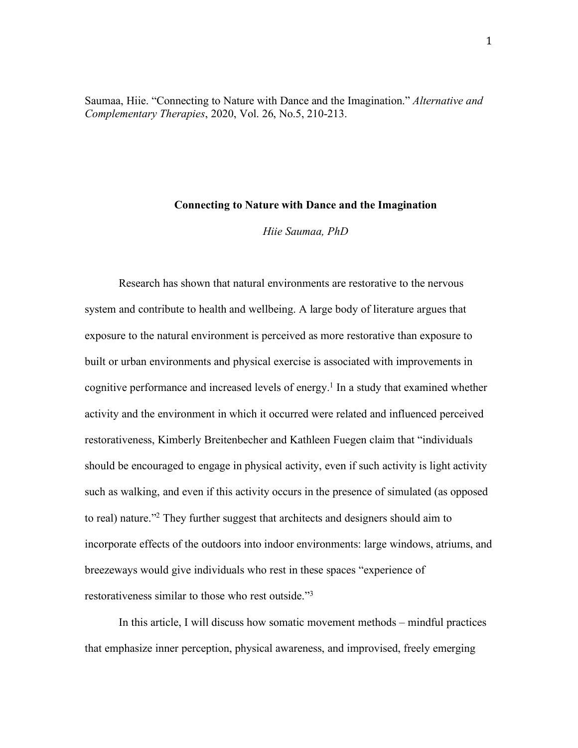Saumaa, Hiie. "Connecting to Nature with Dance and the Imagination." *Alternative and Complementary Therapies*, 2020, Vol. 26, No.5, 210-213.

## **Connecting to Nature with Dance and the Imagination**

*Hiie Saumaa, PhD* 

Research has shown that natural environments are restorative to the nervous system and contribute to health and wellbeing. A large body of literature argues that exposure to the natural environment is perceived as more restorative than exposure to built or urban environments and physical exercise is associated with improvements in cognitive performance and increased levels of energy.<sup>1</sup> In a study that examined whether activity and the environment in which it occurred were related and influenced perceived restorativeness, Kimberly Breitenbecher and Kathleen Fuegen claim that "individuals should be encouraged to engage in physical activity, even if such activity is light activity such as walking, and even if this activity occurs in the presence of simulated (as opposed to real) nature."2 They further suggest that architects and designers should aim to incorporate effects of the outdoors into indoor environments: large windows, atriums, and breezeways would give individuals who rest in these spaces "experience of restorativeness similar to those who rest outside."<sup>3</sup>

In this article, I will discuss how somatic movement methods – mindful practices that emphasize inner perception, physical awareness, and improvised, freely emerging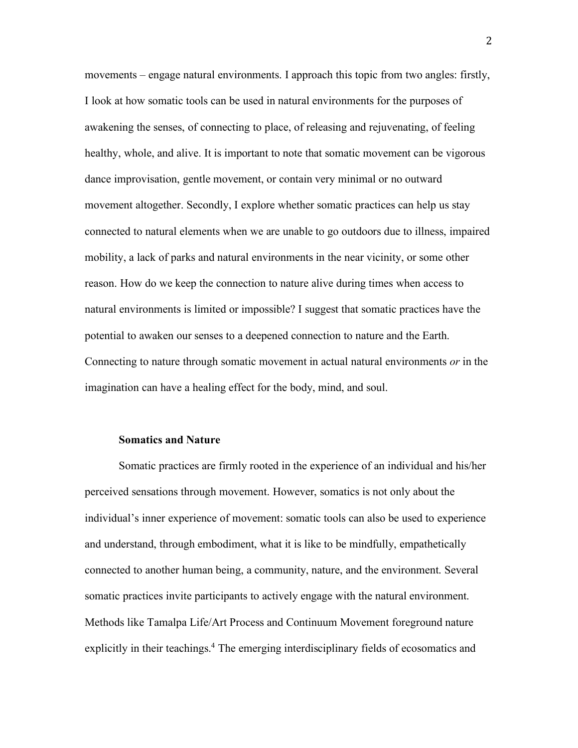movements – engage natural environments. I approach this topic from two angles: firstly, I look at how somatic tools can be used in natural environments for the purposes of awakening the senses, of connecting to place, of releasing and rejuvenating, of feeling healthy, whole, and alive. It is important to note that somatic movement can be vigorous dance improvisation, gentle movement, or contain very minimal or no outward movement altogether. Secondly, I explore whether somatic practices can help us stay connected to natural elements when we are unable to go outdoors due to illness, impaired mobility, a lack of parks and natural environments in the near vicinity, or some other reason. How do we keep the connection to nature alive during times when access to natural environments is limited or impossible? I suggest that somatic practices have the potential to awaken our senses to a deepened connection to nature and the Earth. Connecting to nature through somatic movement in actual natural environments *or* in the imagination can have a healing effect for the body, mind, and soul.

## **Somatics and Nature**

Somatic practices are firmly rooted in the experience of an individual and his/her perceived sensations through movement. However, somatics is not only about the individual's inner experience of movement: somatic tools can also be used to experience and understand, through embodiment, what it is like to be mindfully, empathetically connected to another human being, a community, nature, and the environment. Several somatic practices invite participants to actively engage with the natural environment. Methods like Tamalpa Life/Art Process and Continuum Movement foreground nature explicitly in their teachings.<sup>4</sup> The emerging interdisciplinary fields of ecosomatics and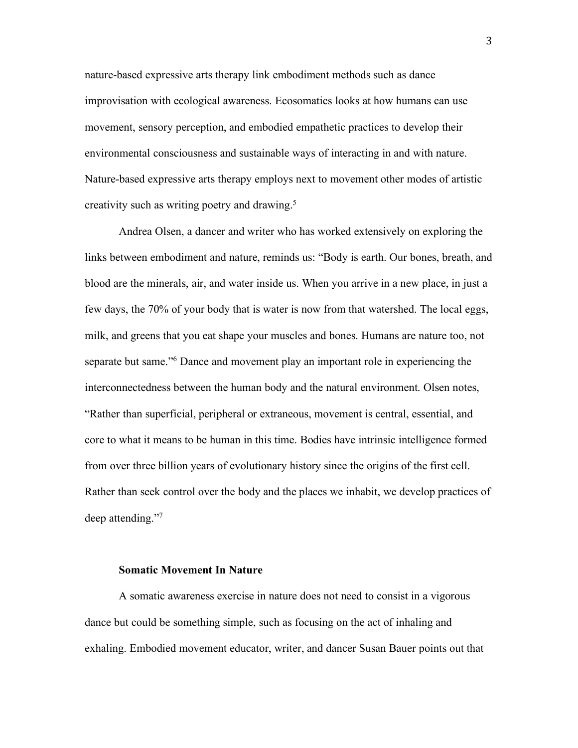nature-based expressive arts therapy link embodiment methods such as dance improvisation with ecological awareness. Ecosomatics looks at how humans can use movement, sensory perception, and embodied empathetic practices to develop their environmental consciousness and sustainable ways of interacting in and with nature. Nature-based expressive arts therapy employs next to movement other modes of artistic creativity such as writing poetry and drawing.5

Andrea Olsen, a dancer and writer who has worked extensively on exploring the links between embodiment and nature, reminds us: "Body is earth. Our bones, breath, and blood are the minerals, air, and water inside us. When you arrive in a new place, in just a few days, the 70% of your body that is water is now from that watershed. The local eggs, milk, and greens that you eat shape your muscles and bones. Humans are nature too, not separate but same."6 Dance and movement play an important role in experiencing the interconnectedness between the human body and the natural environment. Olsen notes, "Rather than superficial, peripheral or extraneous, movement is central, essential, and core to what it means to be human in this time. Bodies have intrinsic intelligence formed from over three billion years of evolutionary history since the origins of the first cell. Rather than seek control over the body and the places we inhabit, we develop practices of deep attending."7

#### **Somatic Movement In Nature**

A somatic awareness exercise in nature does not need to consist in a vigorous dance but could be something simple, such as focusing on the act of inhaling and exhaling. Embodied movement educator, writer, and dancer Susan Bauer points out that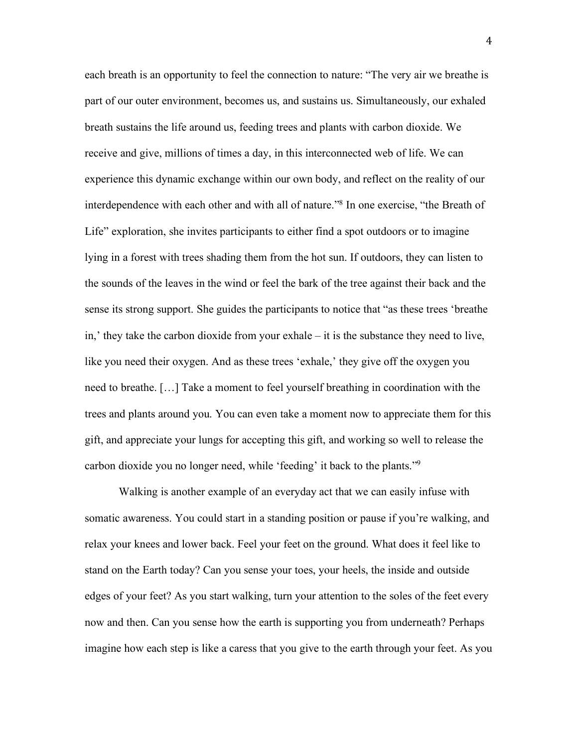each breath is an opportunity to feel the connection to nature: "The very air we breathe is part of our outer environment, becomes us, and sustains us. Simultaneously, our exhaled breath sustains the life around us, feeding trees and plants with carbon dioxide. We receive and give, millions of times a day, in this interconnected web of life. We can experience this dynamic exchange within our own body, and reflect on the reality of our interdependence with each other and with all of nature."8 In one exercise, "the Breath of Life" exploration, she invites participants to either find a spot outdoors or to imagine lying in a forest with trees shading them from the hot sun. If outdoors, they can listen to the sounds of the leaves in the wind or feel the bark of the tree against their back and the sense its strong support. She guides the participants to notice that "as these trees 'breathe in,' they take the carbon dioxide from your exhale – it is the substance they need to live, like you need their oxygen. And as these trees 'exhale,' they give off the oxygen you need to breathe. […] Take a moment to feel yourself breathing in coordination with the trees and plants around you. You can even take a moment now to appreciate them for this gift, and appreciate your lungs for accepting this gift, and working so well to release the carbon dioxide you no longer need, while 'feeding' it back to the plants."9

Walking is another example of an everyday act that we can easily infuse with somatic awareness. You could start in a standing position or pause if you're walking, and relax your knees and lower back. Feel your feet on the ground. What does it feel like to stand on the Earth today? Can you sense your toes, your heels, the inside and outside edges of your feet? As you start walking, turn your attention to the soles of the feet every now and then. Can you sense how the earth is supporting you from underneath? Perhaps imagine how each step is like a caress that you give to the earth through your feet. As you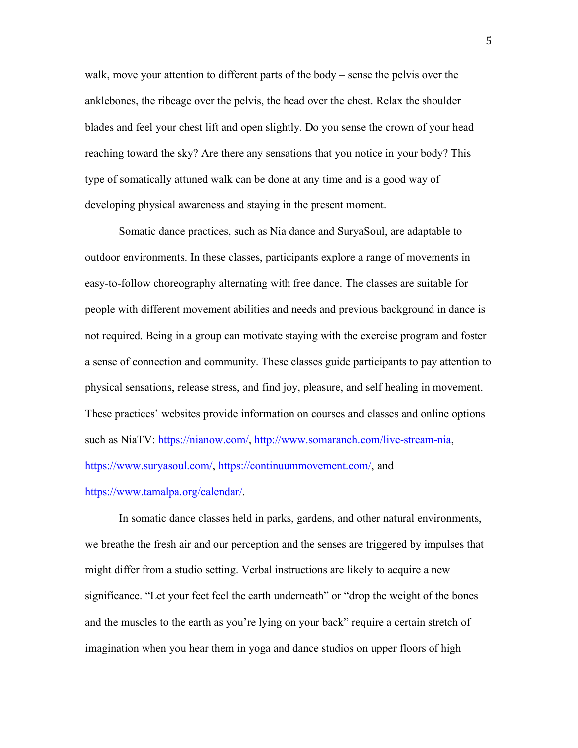walk, move your attention to different parts of the body – sense the pelvis over the anklebones, the ribcage over the pelvis, the head over the chest. Relax the shoulder blades and feel your chest lift and open slightly. Do you sense the crown of your head reaching toward the sky? Are there any sensations that you notice in your body? This type of somatically attuned walk can be done at any time and is a good way of developing physical awareness and staying in the present moment.

Somatic dance practices, such as Nia dance and SuryaSoul, are adaptable to outdoor environments. In these classes, participants explore a range of movements in easy-to-follow choreography alternating with free dance. The classes are suitable for people with different movement abilities and needs and previous background in dance is not required. Being in a group can motivate staying with the exercise program and foster a sense of connection and community. These classes guide participants to pay attention to physical sensations, release stress, and find joy, pleasure, and self healing in movement. These practices' websites provide information on courses and classes and online options such as NiaTV: https://nianow.com/, http://www.somaranch.com/live-stream-nia, https://www.suryasoul.com/, https://continuummovement.com/, and https://www.tamalpa.org/calendar/.

In somatic dance classes held in parks, gardens, and other natural environments, we breathe the fresh air and our perception and the senses are triggered by impulses that might differ from a studio setting. Verbal instructions are likely to acquire a new significance. "Let your feet feel the earth underneath" or "drop the weight of the bones and the muscles to the earth as you're lying on your back" require a certain stretch of imagination when you hear them in yoga and dance studios on upper floors of high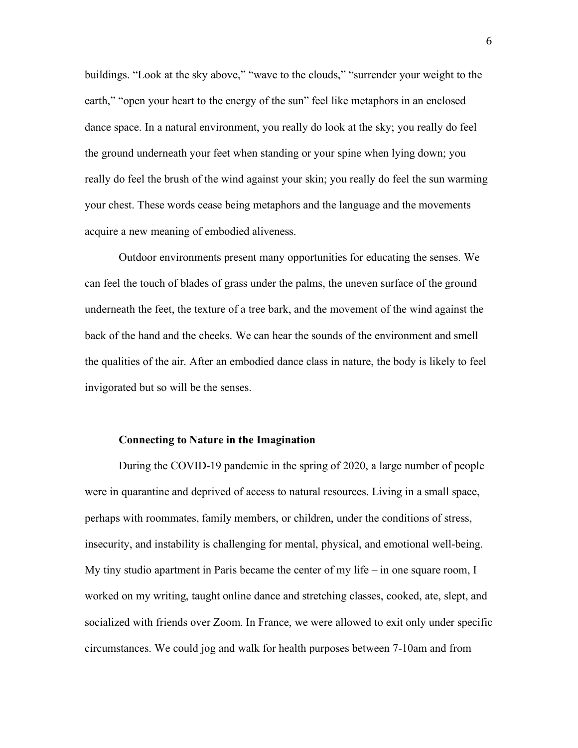buildings. "Look at the sky above," "wave to the clouds," "surrender your weight to the earth," "open your heart to the energy of the sun" feel like metaphors in an enclosed dance space. In a natural environment, you really do look at the sky; you really do feel the ground underneath your feet when standing or your spine when lying down; you really do feel the brush of the wind against your skin; you really do feel the sun warming your chest. These words cease being metaphors and the language and the movements acquire a new meaning of embodied aliveness.

Outdoor environments present many opportunities for educating the senses. We can feel the touch of blades of grass under the palms, the uneven surface of the ground underneath the feet, the texture of a tree bark, and the movement of the wind against the back of the hand and the cheeks. We can hear the sounds of the environment and smell the qualities of the air. After an embodied dance class in nature, the body is likely to feel invigorated but so will be the senses.

# **Connecting to Nature in the Imagination**

During the COVID-19 pandemic in the spring of 2020, a large number of people were in quarantine and deprived of access to natural resources. Living in a small space, perhaps with roommates, family members, or children, under the conditions of stress, insecurity, and instability is challenging for mental, physical, and emotional well-being. My tiny studio apartment in Paris became the center of my life – in one square room, I worked on my writing, taught online dance and stretching classes, cooked, ate, slept, and socialized with friends over Zoom. In France, we were allowed to exit only under specific circumstances. We could jog and walk for health purposes between 7-10am and from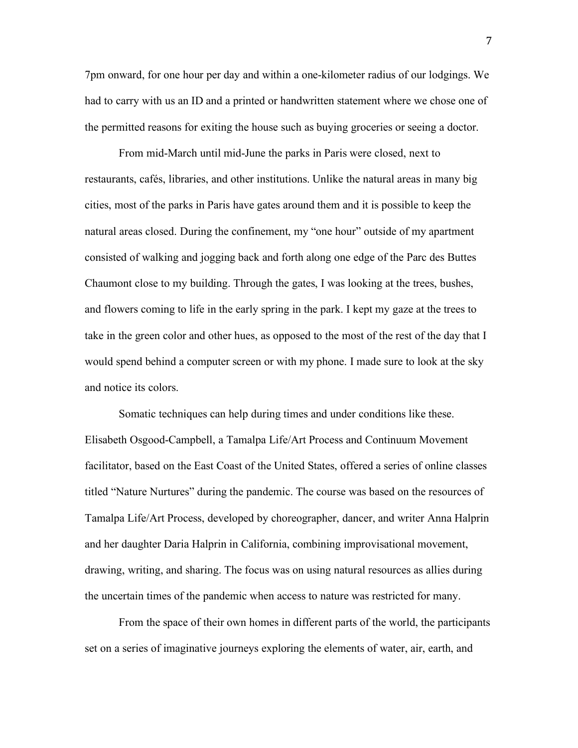7pm onward, for one hour per day and within a one-kilometer radius of our lodgings. We had to carry with us an ID and a printed or handwritten statement where we chose one of the permitted reasons for exiting the house such as buying groceries or seeing a doctor.

From mid-March until mid-June the parks in Paris were closed, next to restaurants, cafés, libraries, and other institutions. Unlike the natural areas in many big cities, most of the parks in Paris have gates around them and it is possible to keep the natural areas closed. During the confinement, my "one hour" outside of my apartment consisted of walking and jogging back and forth along one edge of the Parc des Buttes Chaumont close to my building. Through the gates, I was looking at the trees, bushes, and flowers coming to life in the early spring in the park. I kept my gaze at the trees to take in the green color and other hues, as opposed to the most of the rest of the day that I would spend behind a computer screen or with my phone. I made sure to look at the sky and notice its colors.

Somatic techniques can help during times and under conditions like these. Elisabeth Osgood-Campbell, a Tamalpa Life/Art Process and Continuum Movement facilitator, based on the East Coast of the United States, offered a series of online classes titled "Nature Nurtures" during the pandemic. The course was based on the resources of Tamalpa Life/Art Process, developed by choreographer, dancer, and writer Anna Halprin and her daughter Daria Halprin in California, combining improvisational movement, drawing, writing, and sharing. The focus was on using natural resources as allies during the uncertain times of the pandemic when access to nature was restricted for many.

From the space of their own homes in different parts of the world, the participants set on a series of imaginative journeys exploring the elements of water, air, earth, and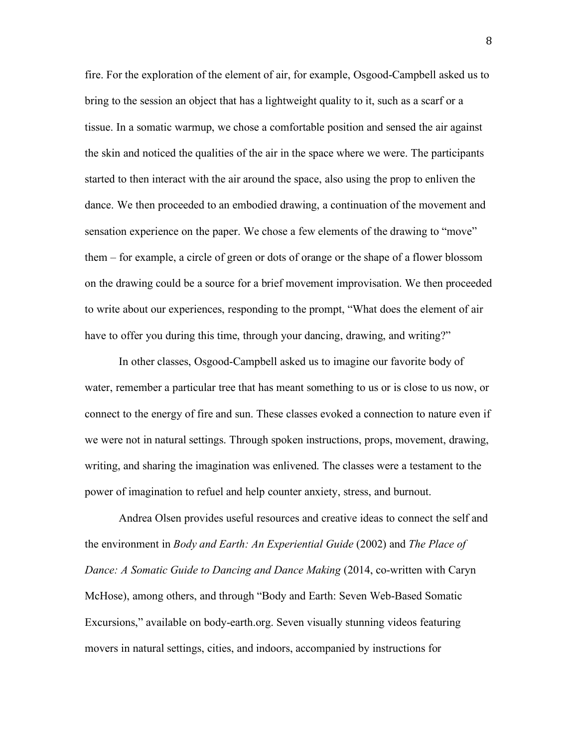fire. For the exploration of the element of air, for example, Osgood-Campbell asked us to bring to the session an object that has a lightweight quality to it, such as a scarf or a tissue. In a somatic warmup, we chose a comfortable position and sensed the air against the skin and noticed the qualities of the air in the space where we were. The participants started to then interact with the air around the space, also using the prop to enliven the dance. We then proceeded to an embodied drawing, a continuation of the movement and sensation experience on the paper. We chose a few elements of the drawing to "move" them – for example, a circle of green or dots of orange or the shape of a flower blossom on the drawing could be a source for a brief movement improvisation. We then proceeded to write about our experiences, responding to the prompt, "What does the element of air have to offer you during this time, through your dancing, drawing, and writing?"

In other classes, Osgood-Campbell asked us to imagine our favorite body of water, remember a particular tree that has meant something to us or is close to us now, or connect to the energy of fire and sun. These classes evoked a connection to nature even if we were not in natural settings. Through spoken instructions, props, movement, drawing, writing, and sharing the imagination was enlivened. The classes were a testament to the power of imagination to refuel and help counter anxiety, stress, and burnout.

Andrea Olsen provides useful resources and creative ideas to connect the self and the environment in *Body and Earth: An Experiential Guide* (2002) and *The Place of Dance: A Somatic Guide to Dancing and Dance Making* (2014, co-written with Caryn McHose), among others, and through "Body and Earth: Seven Web-Based Somatic Excursions," available on body-earth.org. Seven visually stunning videos featuring movers in natural settings, cities, and indoors, accompanied by instructions for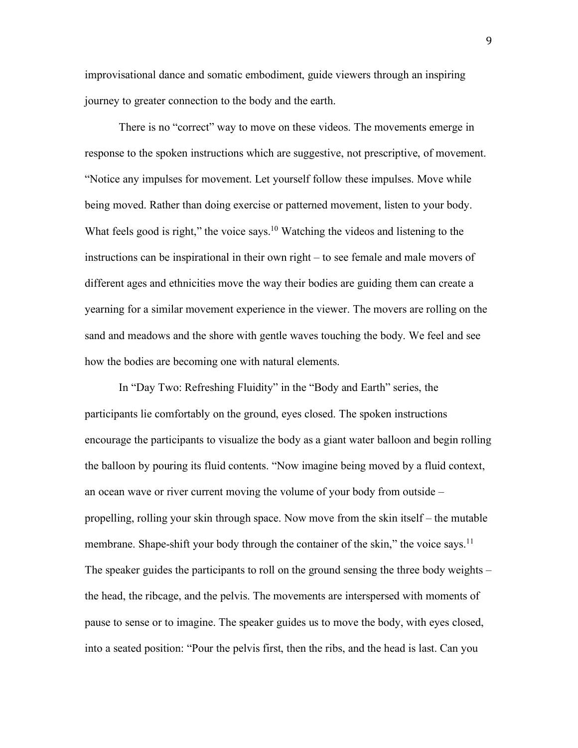improvisational dance and somatic embodiment, guide viewers through an inspiring journey to greater connection to the body and the earth.

There is no "correct" way to move on these videos. The movements emerge in response to the spoken instructions which are suggestive, not prescriptive, of movement. "Notice any impulses for movement. Let yourself follow these impulses. Move while being moved. Rather than doing exercise or patterned movement, listen to your body. What feels good is right," the voice says.<sup>10</sup> Watching the videos and listening to the instructions can be inspirational in their own right – to see female and male movers of different ages and ethnicities move the way their bodies are guiding them can create a yearning for a similar movement experience in the viewer. The movers are rolling on the sand and meadows and the shore with gentle waves touching the body. We feel and see how the bodies are becoming one with natural elements.

In "Day Two: Refreshing Fluidity" in the "Body and Earth" series, the participants lie comfortably on the ground, eyes closed. The spoken instructions encourage the participants to visualize the body as a giant water balloon and begin rolling the balloon by pouring its fluid contents. "Now imagine being moved by a fluid context, an ocean wave or river current moving the volume of your body from outside – propelling, rolling your skin through space. Now move from the skin itself – the mutable membrane. Shape-shift your body through the container of the skin," the voice says.<sup>11</sup> The speaker guides the participants to roll on the ground sensing the three body weights – the head, the ribcage, and the pelvis. The movements are interspersed with moments of pause to sense or to imagine. The speaker guides us to move the body, with eyes closed, into a seated position: "Pour the pelvis first, then the ribs, and the head is last. Can you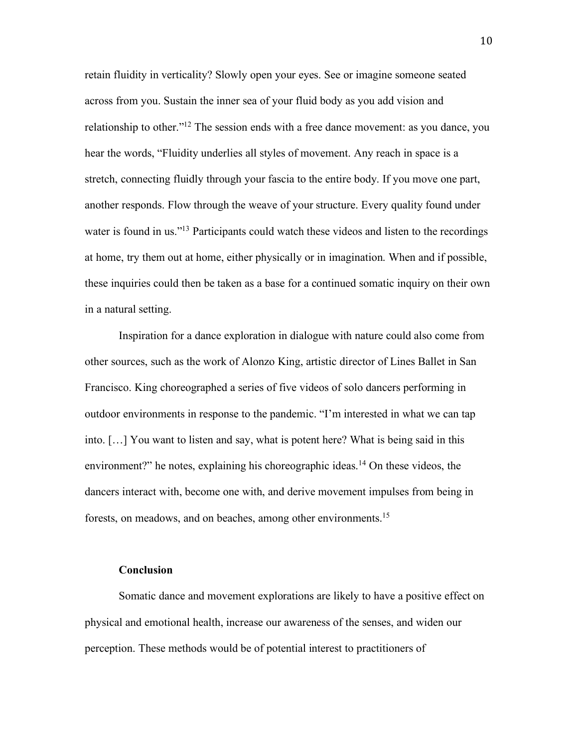retain fluidity in verticality? Slowly open your eyes. See or imagine someone seated across from you. Sustain the inner sea of your fluid body as you add vision and relationship to other."12 The session ends with a free dance movement: as you dance, you hear the words, "Fluidity underlies all styles of movement. Any reach in space is a stretch, connecting fluidly through your fascia to the entire body. If you move one part, another responds. Flow through the weave of your structure. Every quality found under water is found in us."<sup>13</sup> Participants could watch these videos and listen to the recordings at home, try them out at home, either physically or in imagination. When and if possible, these inquiries could then be taken as a base for a continued somatic inquiry on their own in a natural setting.

Inspiration for a dance exploration in dialogue with nature could also come from other sources, such as the work of Alonzo King, artistic director of Lines Ballet in San Francisco. King choreographed a series of five videos of solo dancers performing in outdoor environments in response to the pandemic. "I'm interested in what we can tap into. […] You want to listen and say, what is potent here? What is being said in this environment?" he notes, explaining his choreographic ideas.<sup>14</sup> On these videos, the dancers interact with, become one with, and derive movement impulses from being in forests, on meadows, and on beaches, among other environments.15

## **Conclusion**

Somatic dance and movement explorations are likely to have a positive effect on physical and emotional health, increase our awareness of the senses, and widen our perception. These methods would be of potential interest to practitioners of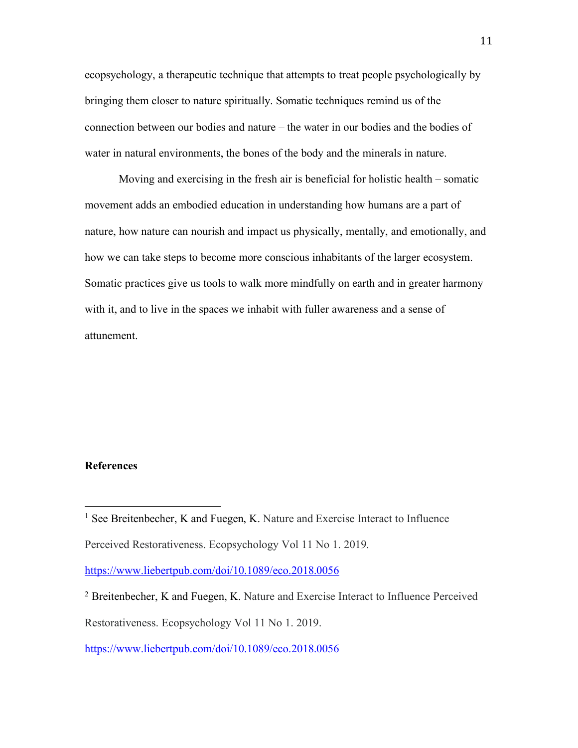ecopsychology, a therapeutic technique that attempts to treat people psychologically by bringing them closer to nature spiritually. Somatic techniques remind us of the connection between our bodies and nature – the water in our bodies and the bodies of water in natural environments, the bones of the body and the minerals in nature.

Moving and exercising in the fresh air is beneficial for holistic health – somatic movement adds an embodied education in understanding how humans are a part of nature, how nature can nourish and impact us physically, mentally, and emotionally, and how we can take steps to become more conscious inhabitants of the larger ecosystem. Somatic practices give us tools to walk more mindfully on earth and in greater harmony with it, and to live in the spaces we inhabit with fuller awareness and a sense of attunement.

# **References**

 

Perceived Restorativeness. Ecopsychology Vol 11 No 1. 2019.

https://www.liebertpub.com/doi/10.1089/eco.2018.0056

<sup>2</sup> Breitenbecher, K and Fuegen, K. Nature and Exercise Interact to Influence Perceived

Restorativeness. Ecopsychology Vol 11 No 1. 2019.

https://www.liebertpub.com/doi/10.1089/eco.2018.0056

<sup>&</sup>lt;sup>1</sup> See Breitenbecher, K and Fuegen, K. Nature and Exercise Interact to Influence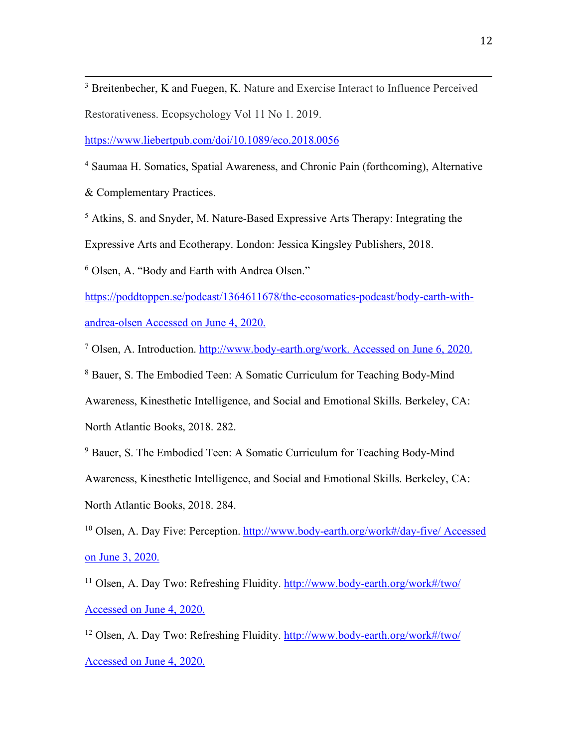<sup>3</sup> Breitenbecher, K and Fuegen, K. Nature and Exercise Interact to Influence Perceived Restorativeness. Ecopsychology Vol 11 No 1. 2019.

<u> 2002 - Andrea San Andrea San Andrea San Andrea San Andrea San Andrea San Andrea San Andrea San Andrea San An</u>

https://www.liebertpub.com/doi/10.1089/eco.2018.0056

<sup>4</sup> Saumaa H. Somatics, Spatial Awareness, and Chronic Pain (forthcoming), Alternative

& Complementary Practices.

<sup>5</sup> Atkins, S. and Snyder, M. Nature-Based Expressive Arts Therapy: Integrating the

Expressive Arts and Ecotherapy. London: Jessica Kingsley Publishers, 2018.

<sup>6</sup> Olsen, A. "Body and Earth with Andrea Olsen."

https://poddtoppen.se/podcast/1364611678/the-ecosomatics-podcast/body-earth-withandrea-olsen Accessed on June 4, 2020.

<sup>7</sup> Olsen, A. Introduction. http://www.body-earth.org/work. Accessed on June 6, 2020.

<sup>8</sup> Bauer, S. The Embodied Teen: A Somatic Curriculum for Teaching Body-Mind Awareness, Kinesthetic Intelligence, and Social and Emotional Skills. Berkeley, CA: North Atlantic Books, 2018. 282.

<sup>9</sup> Bauer, S. The Embodied Teen: A Somatic Curriculum for Teaching Body-Mind Awareness, Kinesthetic Intelligence, and Social and Emotional Skills. Berkeley, CA:

North Atlantic Books, 2018. 284.

<sup>10</sup> Olsen, A. Day Five: Perception. http://www.body-earth.org/work#/day-five/ Accessed on June 3, 2020.

<sup>11</sup> Olsen, A. Day Two: Refreshing Fluidity. http://www.body-earth.org/work#/two/ Accessed on June 4, 2020.

<sup>12</sup> Olsen, A. Day Two: Refreshing Fluidity. http://www.body-earth.org/work#/two/ Accessed on June 4, 2020.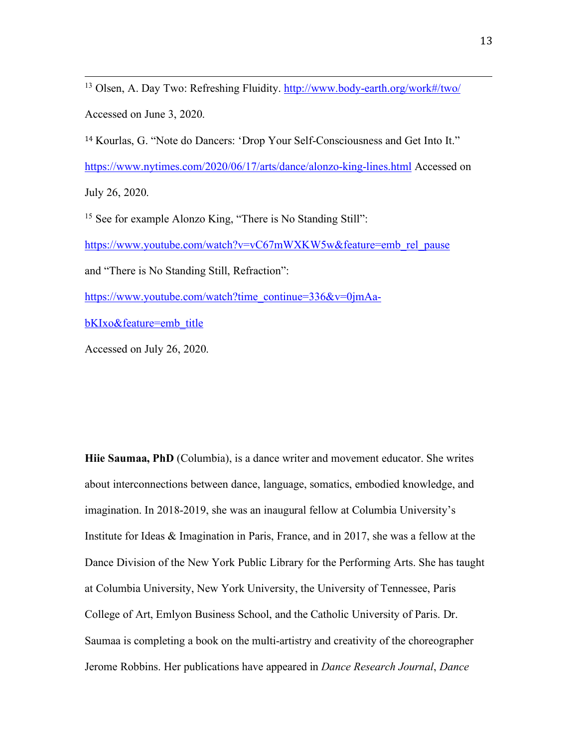<sup>13</sup> Olsen, A. Day Two: Refreshing Fluidity. http://www.body-earth.org/work#/two/ Accessed on June 3, 2020.

<u> 2002 - Andrea San Andrea San Andrea San Andrea San Andrea San Andrea San Andrea San Andrea San Andrea San An</u>

<sup>14</sup> Kourlas, G. "Note do Dancers: 'Drop Your Self-Consciousness and Get Into It." https://www.nytimes.com/2020/06/17/arts/dance/alonzo-king-lines.html Accessed on July 26, 2020.

<sup>15</sup> See for example Alonzo King, "There is No Standing Still":

https://www.youtube.com/watch?v=vC67mWXKW5w&feature=emb\_rel\_pause

and "There is No Standing Still, Refraction":

https://www.youtube.com/watch?time\_continue=336&v=0jmAa-

bKIxo&feature=emb\_title

Accessed on July 26, 2020.

**Hiie Saumaa, PhD** (Columbia), is a dance writer and movement educator. She writes about interconnections between dance, language, somatics, embodied knowledge, and imagination. In 2018-2019, she was an inaugural fellow at Columbia University's Institute for Ideas & Imagination in Paris, France, and in 2017, she was a fellow at the Dance Division of the New York Public Library for the Performing Arts. She has taught at Columbia University, New York University, the University of Tennessee, Paris College of Art, Emlyon Business School, and the Catholic University of Paris. Dr. Saumaa is completing a book on the multi-artistry and creativity of the choreographer Jerome Robbins. Her publications have appeared in *Dance Research Journal*, *Dance*